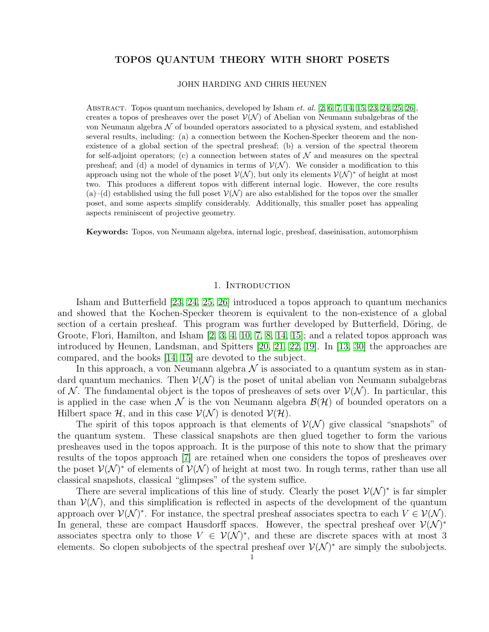# TOPOS QUANTUM THEORY WITH SHORT POSETS

### JOHN HARDING AND CHRIS HEUNEN

ABSTRACT. Topos quantum mechanics, developed by Isham  $et.$   $al.$  [\[2,](#page-12-0) [6,](#page-12-1) [7,](#page-12-2) [14,](#page-12-3) [15,](#page-12-4) [23,](#page-12-5) [24,](#page-12-6) [25,](#page-12-7) [26\]](#page-12-8), creates a topos of presheaves over the poset  $V(N)$  of Abelian von Neumann subalgebras of the von Neumann algebra  $\mathcal N$  of bounded operators associated to a physical system, and established several results, including: (a) a connection between the Kochen-Specker theorem and the nonexistence of a global section of the spectral presheaf; (b) a version of the spectral theorem for self-adjoint operators; (c) a connection between states of  $\mathcal N$  and measures on the spectral presheaf; and (d) a model of dynamics in terms of  $\mathcal{V}(\mathcal{N})$ . We consider a modification to this approach using not the whole of the poset  $\mathcal{V}(\mathcal{N})$ , but only its elements  $\mathcal{V}(\mathcal{N})^*$  of height at most two. This produces a different topos with different internal logic. However, the core results (a)–(d) established using the full poset  $\mathcal{V}(\mathcal{N})$  are also established for the topos over the smaller poset, and some aspects simplify considerably. Additionally, this smaller poset has appealing aspects reminiscent of projective geometry.

Keywords: Topos, von Neumann algebra, internal logic, presheaf, daseinisation, automorphism

# 1. INTRODUCTION

Isham and Butterfield [\[23,](#page-12-5) [24,](#page-12-6) [25,](#page-12-7) [26\]](#page-12-8) introduced a topos approach to quantum mechanics and showed that the Kochen-Specker theorem is equivalent to the non-existence of a global section of a certain presheaf. This program was further developed by Butterfield, Döring, de Groote, Flori, Hamilton, and Isham [\[2,](#page-12-0) [3,](#page-12-9) [4,](#page-12-10) [10,](#page-12-11) [7,](#page-12-2) [8,](#page-12-12) [14,](#page-12-3) [15\]](#page-12-4); and a related topos approach was introduced by Heunen, Landsman, and Spitters [\[20,](#page-12-13) [21,](#page-12-14) [22,](#page-12-15) [19\]](#page-12-16). In [\[13,](#page-12-17) [30\]](#page-12-18) the approaches are compared, and the books [\[14,](#page-12-3) [15\]](#page-12-4) are devoted to the subject.

In this approach, a von Neumann algebra  $\mathcal N$  is associated to a quantum system as in standard quantum mechanics. Then  $\mathcal{V}(\mathcal{N})$  is the poset of unital abelian von Neumann subalgebras of N. The fundamental object is the topos of presheaves of sets over  $\mathcal{V}(\mathcal{N})$ . In particular, this is applied in the case when N is the von Neumann algebra  $\mathcal{B}(\mathcal{H})$  of bounded operators on a Hilbert space H, and in this case  $\mathcal{V}(\mathcal{N})$  is denoted  $\mathcal{V}(\mathcal{H})$ .

The spirit of this topos approach is that elements of  $\mathcal{V}(\mathcal{N})$  give classical "snapshots" of the quantum system. These classical snapshots are then glued together to form the various presheaves used in the topos approach. It is the purpose of this note to show that the primary results of the topos approach [\[7\]](#page-12-2) are retained when one considers the topos of presheaves over the poset  $\mathcal{V}(\mathcal{N})^*$  of elements of  $\mathcal{V}(\mathcal{N})$  of height at most two. In rough terms, rather than use all classical snapshots, classical "glimpses" of the system suffice.

There are several implications of this line of study. Clearly the poset  $\mathcal{V}(\mathcal{N})^*$  is far simpler than  $\mathcal{V}(\mathcal{N})$ , and this simplification is reflected in aspects of the development of the quantum approach over  $\mathcal{V}(\mathcal{N})^*$ . For instance, the spectral presheaf associates spectra to each  $V \in \mathcal{V}(\mathcal{N})$ . In general, these are compact Hausdorff spaces. However, the spectral presheaf over  $\mathcal{V}(\mathcal{N})^*$ associates spectra only to those  $V \in \mathcal{V}(\mathcal{N})^*$ , and these are discrete spaces with at most 3 elements. So clopen subobjects of the spectral presheaf over  $\mathcal{V}(\mathcal{N})^*$  are simply the subobjects.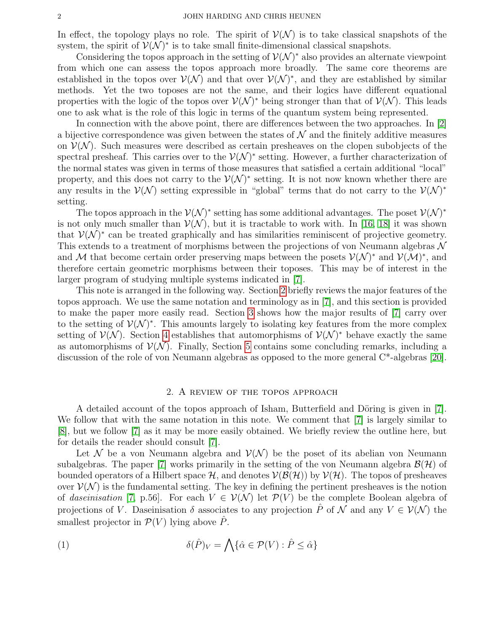In effect, the topology plays no role. The spirit of  $\mathcal{V}(\mathcal{N})$  is to take classical snapshots of the system, the spirit of  $\mathcal{V}(\mathcal{N})^*$  is to take small finite-dimensional classical snapshots.

Considering the topos approach in the setting of  $\mathcal{V}(\mathcal{N})^*$  also provides an alternate viewpoint from which one can assess the topos approach more broadly. The same core theorems are established in the topos over  $V(N)$  and that over  $V(N)^*$ , and they are established by similar methods. Yet the two toposes are not the same, and their logics have different equational properties with the logic of the topos over  $\mathcal{V}(\mathcal{N})^*$  being stronger than that of  $\mathcal{V}(\mathcal{N})$ . This leads one to ask what is the role of this logic in terms of the quantum system being represented.

In connection with the above point, there are differences between the two approaches. In [\[2\]](#page-12-0) a bijective correspondence was given between the states of  $\mathcal N$  and the finitely additive measures on  $\mathcal{V}(\mathcal{N})$ . Such measures were described as certain presheaves on the clopen subobjects of the spectral presheaf. This carries over to the  $\mathcal{V}(\mathcal{N})^*$  setting. However, a further characterization of the normal states was given in terms of those measures that satisfied a certain additional "local" property, and this does not carry to the  $\mathcal{V}(\mathcal{N})^*$  setting. It is not now known whether there are any results in the  $\mathcal{V}(\mathcal{N})$  setting expressible in "global" terms that do not carry to the  $\mathcal{V}(\mathcal{N})^*$ setting.

The topos approach in the  $\mathcal{V}(\mathcal{N})^*$  setting has some additional advantages. The poset  $\mathcal{V}(\mathcal{N})^*$ is not only much smaller than  $V(N)$ , but it is tractable to work with. In [\[16,](#page-12-19) [18\]](#page-12-20) it was shown that  $\mathcal{V}(\mathcal{N})^*$  can be treated graphically and has similarities reminiscent of projective geometry. This extends to a treatment of morphisms between the projections of von Neumann algebras  $\mathcal N$ and M that become certain order preserving maps between the posets  $\mathcal{V}(\mathcal{N})^*$  and  $\mathcal{V}(\mathcal{M})^*$ , and therefore certain geometric morphisms between their toposes. This may be of interest in the larger program of studying multiple systems indicated in [\[7\]](#page-12-2).

This note is arranged in the following way. Section [2](#page-1-0) briefly reviews the major features of the topos approach. We use the same notation and terminology as in [\[7\]](#page-12-2), and this section is provided to make the paper more easily read. Section [3](#page-3-0) shows how the major results of [\[7\]](#page-12-2) carry over to the setting of  $\mathcal{V}(\mathcal{N})^*$ . This amounts largely to isolating key features from the more complex setting of  $\mathcal{V}(\mathcal{N})$ . Section [4](#page-8-0) establishes that automorphisms of  $\mathcal{V}(\mathcal{N})^*$  behave exactly the same as automorphisms of  $\mathcal{V}(\mathcal{N})$ . Finally, Section [5](#page-10-0) contains some concluding remarks, including a discussion of the role of von Neumann algebras as opposed to the more general C\*-algebras [\[20\]](#page-12-13).

### 2. A REVIEW OF THE TOPOS APPROACH

<span id="page-1-0"></span>A detailed account of the topos approach of Isham, Butterfield and Döring is given in  $[7]$ . We follow that with the same notation in this note. We comment that  $[7]$  is largely similar to [\[8\]](#page-12-12), but we follow [\[7\]](#page-12-2) as it may be more easily obtained. We briefly review the outline here, but for details the reader should consult [\[7\]](#page-12-2).

Let N be a von Neumann algebra and  $\mathcal{V}(\mathcal{N})$  be the poset of its abelian von Neumann subalgebras. The paper [\[7\]](#page-12-2) works primarily in the setting of the von Neumann algebra  $\mathcal{B}(\mathcal{H})$  of bounded operators of a Hilbert space  $H$ , and denotes  $V(\mathcal{B}(\mathcal{H}))$  by  $V(\mathcal{H})$ . The topos of presheaves over  $\mathcal{V}(\mathcal{N})$  is the fundamental setting. The key in defining the pertinent presheaves is the notion of daseinisation [\[7,](#page-12-2) p.56]. For each  $V \in \mathcal{V}(\mathcal{N})$  let  $\mathcal{P}(V)$  be the complete Boolean algebra of projections of V. Daseinisation  $\delta$  associates to any projection  $\hat{P}$  of  $\mathcal N$  and any  $V \in \mathcal V(\mathcal N)$  the smallest projector in  $\mathcal{P}(V)$  lying above  $\hat{P}$ .

(1) 
$$
\delta(\hat{P})_V = \bigwedge \{ \hat{\alpha} \in \mathcal{P}(V) : \hat{P} \leq \hat{\alpha} \}
$$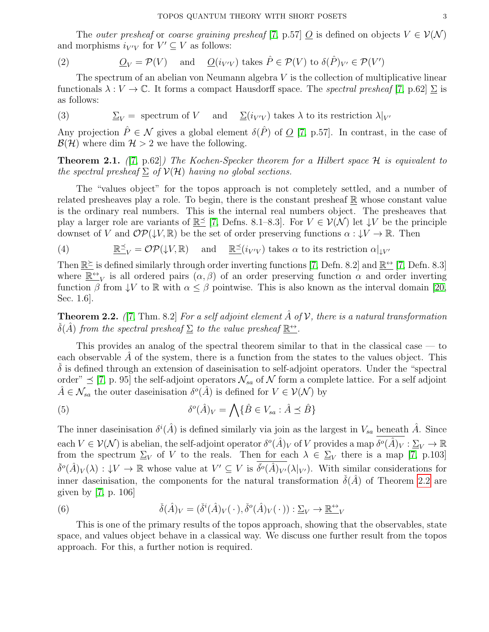The *outer presheaf* or *coarse graining presheaf* [\[7,](#page-12-2) p.57]  $\mathcal{Q}$  is defined on objects  $V \in \mathcal{V}(\mathcal{N})$ and morphisms  $i_{V'V}$  for  $V' \subseteq V$  as follows:

(2) 
$$
\underline{O}_V = \mathcal{P}(V) \quad \text{and} \quad \underline{O}(i_{V'V}) \text{ takes } \hat{P} \in \mathcal{P}(V) \text{ to } \delta(\hat{P})_{V'} \in \mathcal{P}(V')
$$

The spectrum of an abelian von Neumann algebra  $V$  is the collection of multiplicative linear functionals  $\lambda: V \to \mathbb{C}$ . It forms a compact Hausdorff space. The spectral presheaf [\[7,](#page-12-2) p.62]  $\Sigma$  is as follows:

(3) 
$$
\underline{\Sigma}_V =
$$
 spectrum of  $V$  and  $\underline{\Sigma}(i_{V'V})$  takes  $\lambda$  to its restriction  $\lambda|_{V'}$ 

Any projection  $\hat{P} \in \mathcal{N}$  gives a global element  $\delta(\hat{P})$  of  $\Omega$  [\[7,](#page-12-2) p.57]. In contrast, in the case of  $\mathcal{B}(\mathcal{H})$  where dim  $\mathcal{H} > 2$  we have the following.

<span id="page-2-1"></span>**Theorem 2.1.** ([\[7,](#page-12-2) p.62]) The Kochen-Specker theorem for a Hilbert space  $H$  is equivalent to the spectral presheaf  $\Sigma$  of  $V(H)$  having no global sections.

The "values object" for the topos approach is not completely settled, and a number of related presheaves play a role. To begin, there is the constant presheaf  $\mathbb R$  whose constant value is the ordinary real numbers. This is the internal real numbers object. The presheaves that play a larger role are variants of  $\mathbb{R}^{\leq}$  [\[7,](#page-12-2) Defns. 8.1–8.3]. For  $V \in \mathcal{V}(\mathcal{N})$  let  $\downarrow V$  be the principle downset of V and  $\mathcal{OP}(\downarrow V, \mathbb{R})$  be the set of order preserving functions  $\alpha : \downarrow V \to \mathbb{R}$ . Then

(4) 
$$
\mathbb{R}^{\preceq} = \mathcal{OP}(\downarrow V, \mathbb{R}) \text{ and } \mathbb{R}^{\preceq}(i_{V'V}) \text{ takes } \alpha \text{ to its restriction } \alpha|_{\downarrow V'}
$$

Then  $\mathbb{R}^{\geq}$  is defined similarly through order inverting functions [\[7,](#page-12-2) Defn. 8.2] and  $\mathbb{R}^{\leftrightarrow}$  [\[7,](#page-12-2) Defn. 8.3] where  $\mathbb{R}^{\leftrightarrow}{}_{V}$  is all ordered pairs  $(\alpha, \beta)$  of an order preserving function  $\alpha$  and order inverting function  $\beta$  from  $\downarrow V$  to  $\mathbb R$  with  $\alpha \leq \beta$  pointwise. This is also known as the interval domain [\[20,](#page-12-13) Sec. 1.6].

<span id="page-2-0"></span>**Theorem 2.2.** ([\[7,](#page-12-2) Thm. 8.2] For a self adjoint element  $\hat{A}$  of  $V$ , there is a natural transformation  $\check{\delta}(\hat{A})$  from the spectral presheaf  $\Sigma$  to the value presheaf  $\mathbb{R}^{\leftrightarrow}$ .

This provides an analog of the spectral theorem similar to that in the classical case — to each observable  $A$  of the system, there is a function from the states to the values object. This  $\delta$  is defined through an extension of daseinisation to self-adjoint operators. Under the "spectral order"  $\leq$  [\[7,](#page-12-2) p. 95] the self-adjoint operators  $\mathcal{N}_{sa}$  of  $\mathcal N$  form a complete lattice. For a self adjoint  $\hat{A} \in \mathcal{N}_{sa}$  the outer daseinisation  $\delta^o(\hat{A})$  is defined for  $V \in \mathcal{V}(\mathcal{N})$  by

<span id="page-2-2"></span>(5) 
$$
\delta^{o}(\hat{A})_{V} = \bigwedge \{\hat{B} \in V_{sa} : \hat{A} \preceq \hat{B}\}
$$

The inner daseinisation  $\delta^i(\hat{A})$  is defined similarly via join as the largest in  $V_{sa}$  beneath  $\hat{A}$ . Since  $\text{each } V \in \mathcal{V}(\mathcal{N}) \text{ is abelian, the self-adjoint operator } \delta^o(\hat{A})_V \text{ of } V \text{ provides a map } \delta^o(\hat{A})_V : \underline{\Sigma}_V \to \mathbb{R}$ from the spectrum  $\Sigma_V$  of V to the reals. Then for each  $\lambda \in \Sigma_V$  there is a map [\[7,](#page-12-2) p.103]  $\check{\delta}^o(\hat{A})_V(\lambda) : \downarrow V \to \mathbb{R}$  whose value at  $V' \subseteq V$  is  $\check{\delta}^o(\hat{A})_{V'}(\lambda|_{V'})$ . With similar considerations for inner daseinisation, the components for the natural transformation  $\check{\delta}(\hat{A})$  of Theorem [2.2](#page-2-0) are given by [\[7,](#page-12-2) p. 106]

(6) 
$$
\check{\delta}(\hat{A})_V = (\check{\delta}^i(\hat{A})_V(\,\cdot\,), \check{\delta}^o(\hat{A})_V(\,\cdot\,)) : \underline{\Sigma}_V \to \underline{\mathbb{R}}^{\leftrightarrow}{}_{V}
$$

This is one of the primary results of the topos approach, showing that the observables, state space, and values object behave in a classical way. We discuss one further result from the topos approach. For this, a further notion is required.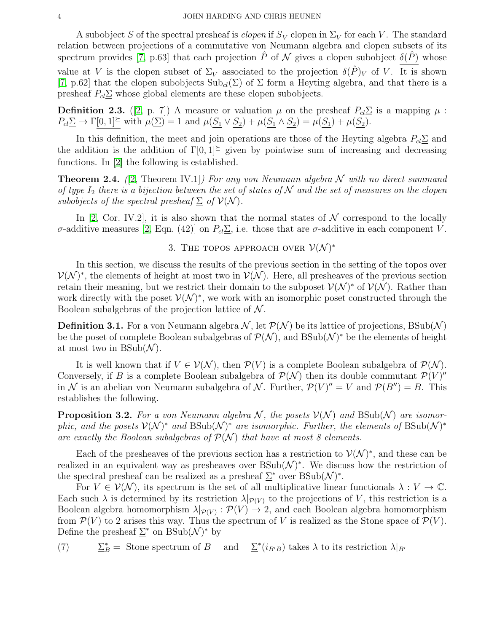A subobject  $\underline{S}$  of the spectral presheaf is *clopen* if  $\underline{S}_V$  clopen in  $\underline{\Sigma}_V$  for each V. The standard relation between projections of a commutative von Neumann algebra and clopen subsets of its spectrum provides [\[7,](#page-12-2) p.63] that each projection  $\hat{P}$  of  $\cal N$  gives a clopen subobject  $\delta(\hat{P})$  whose value at V is the clopen subset of  $\Sigma_V$  associated to the projection  $\delta(\hat{P})_V$  of V. It is shown [\[7,](#page-12-2) p.62] that the clopen subobjects  $\text{Sub}_{cl}(\Sigma)$  of  $\Sigma$  form a Heyting algebra, and that there is a presheaf  $P_{cl}\Sigma$  whose global elements are these clopen subobjects.

<span id="page-3-3"></span>**Definition 2.3.** ([\[2,](#page-12-0) p. 7]) A measure or valuation  $\mu$  on the presheaf  $P_{cl}\underline{\Sigma}$  is a mapping  $\mu$ :  $P_{cl} \underline{\Sigma} \rightarrow \Gamma[0,1] \stackrel{\simeq}{=}$  with  $\mu(\underline{\Sigma}) = 1$  and  $\mu(S_1 \vee S_2) + \mu(S_1 \wedge S_2) = \mu(S_1) + \mu(S_2)$ .

In this definition, the meet and join operations are those of the Heyting algebra  $P_{cl}\Sigma$  and the addition is the addition of  $\Gamma[0,1]^\succeq$  given by pointwise sum of increasing and decreasing functions. In [\[2\]](#page-12-0) the following is established.

<span id="page-3-2"></span>**Theorem 2.4.** (2, Theorem IV.1) For any von Neumann algebra N with no direct summand of type  $I_2$  there is a bijection between the set of states of N and the set of measures on the clopen subobjects of the spectral presheaf  $\Sigma$  of  $V(N)$ .

In [\[2,](#page-12-0) Cor. IV.2], it is also shown that the normal states of  $\mathcal N$  correspond to the locally σ-additive measures [\[2,](#page-12-0) Eqn. (42)] on  $P_{cl} \underline{\Sigma}$ , i.e. those that are σ-additive in each component V.

# 3. THE TOPOS APPROACH OVER  $\mathcal{V}(\mathcal{N})^*$

<span id="page-3-0"></span>In this section, we discuss the results of the previous section in the setting of the topos over  $\mathcal{V}(\mathcal{N})^*$ , the elements of height at most two in  $\mathcal{V}(\mathcal{N})$ . Here, all presheaves of the previous section retain their meaning, but we restrict their domain to the subposet  $\mathcal{V}(\mathcal{N})^*$  of  $\mathcal{V}(\mathcal{N})$ . Rather than work directly with the poset  $\mathcal{V}(\mathcal{N})^*$ , we work with an isomorphic poset constructed through the Boolean subalgebras of the projection lattice of  $\mathcal N$ .

**Definition 3.1.** For a von Neumann algebra  $\mathcal{N}$ , let  $\mathcal{P}(\mathcal{N})$  be its lattice of projections, BSub( $\mathcal{N}$ ) be the poset of complete Boolean subalgebras of  $\mathcal{P}(\mathcal{N})$ , and  $\text{BSub}(\mathcal{N})^*$  be the elements of height at most two in  $BSub(\mathcal{N})$ .

It is well known that if  $V \in \mathcal{V}(\mathcal{N})$ , then  $\mathcal{P}(V)$  is a complete Boolean subalgebra of  $\mathcal{P}(\mathcal{N})$ . Conversely, if B is a complete Boolean subalgebra of  $\mathcal{P}(\mathcal{N})$  then its double commutant  $\mathcal{P}(V)''$ in N is an abelian von Neumann subalgebra of N. Further,  $\mathcal{P}(V)'' = V$  and  $\mathcal{P}(B'') = B$ . This establishes the following.

**Proposition 3.2.** For a von Neumann algebra N, the posets  $V(N)$  and  $BSub(N)$  are isomorphic, and the posets  $\mathcal{V}(\mathcal{N})^*$  and  $\text{BSub}(\mathcal{N})^*$  are isomorphic. Further, the elements of  $\text{BSub}(\mathcal{N})^*$ are exactly the Boolean subalgebras of  $\mathcal{P}(\mathcal{N})$  that have at most 8 elements.

Each of the presheaves of the previous section has a restriction to  $\mathcal{V}(\mathcal{N})^*$ , and these can be realized in an equivalent way as presheaves over  $\text{BSub}(\mathcal{N})^*$ . We discuss how the restriction of the spectral presheaf can be realized as a presheaf  $\Sigma^*$  over BSub( $\mathcal{N}$ )<sup>\*</sup>.

For  $V \in \mathcal{V}(\mathcal{N})$ , its spectrum is the set of all multiplicative linear functionals  $\lambda : V \to \mathbb{C}$ . Each such  $\lambda$  is determined by its restriction  $\lambda|_{\mathcal{P}(V)}$  to the projections of V, this restriction is a Boolean algebra homomorphism  $\lambda|_{\mathcal{P}(V)} : \mathcal{P}(V) \to 2$ , and each Boolean algebra homomorphism from  $\mathcal{P}(V)$  to 2 arises this way. Thus the spectrum of V is realized as the Stone space of  $\mathcal{P}(V)$ . Define the presheaf  $\Sigma^*$  on BSub $(\mathcal{N})^*$  by

<span id="page-3-1"></span>(7)  $\Sigma_B^* =$  Stone spectrum of B and  $\Sigma^*(i_{B'B})$  takes  $\lambda$  to its restriction  $\lambda|_{B'}$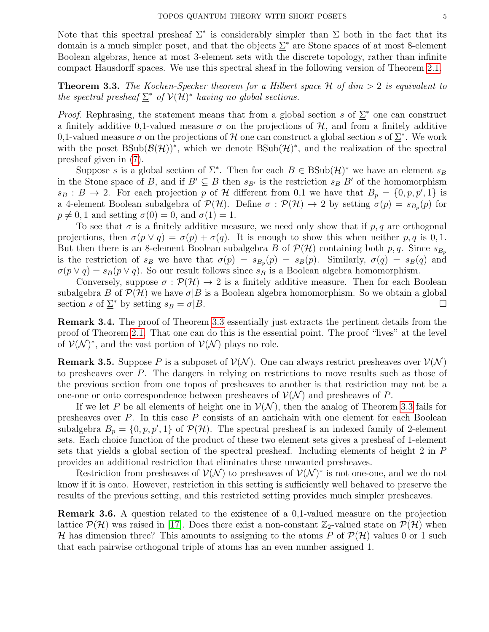Note that this spectral presheaf  $\Sigma^*$  is considerably simpler than  $\Sigma$  both in the fact that its domain is a much simpler poset, and that the objects  $\Sigma^*$  are Stone spaces of at most 8-element Boolean algebras, hence at most 3-element sets with the discrete topology, rather than infinite compact Hausdorff spaces. We use this spectral sheaf in the following version of Theorem [2.1.](#page-2-1)

<span id="page-4-0"></span>**Theorem 3.3.** The Kochen-Specker theorem for a Hilbert space  $H$  of dim  $> 2$  is equivalent to the spectral presheaf  $\Sigma^*$  of  $V(H)^*$  having no global sections.

*Proof.* Rephrasing, the statement means that from a global section s of  $\Sigma^*$  one can construct a finitely additive 0,1-valued measure  $\sigma$  on the projections of H, and from a finitely additive 0,1-valued measure  $\sigma$  on the projections of H one can construct a global section s of  $\Sigma^*$ . We work with the poset  $BSub(\mathcal{B}(\mathcal{H}))^*$ , which we denote  $BSub(\mathcal{H})^*$ , and the realization of the spectral presheaf given in [\(7\)](#page-3-1).

Suppose s is a global section of  $\Sigma^*$ . Then for each  $B \in BSub(\mathcal{H})^*$  we have an element  $s_B$ in the Stone space of B, and if  $B' \subseteq B$  then  $s_{B'}$  is the restriction  $s_B|B'$  of the homomorphism  $s_B : B \to 2$ . For each projection p of H different from 0,1 we have that  $B_p = \{0, p, p', 1\}$  is a 4-element Boolean subalgebra of  $\mathcal{P}(\mathcal{H})$ . Define  $\sigma : \mathcal{P}(\mathcal{H}) \to 2$  by setting  $\sigma(p) = s_{B_p}(p)$  for  $p \neq 0, 1$  and setting  $\sigma(0) = 0$ , and  $\sigma(1) = 1$ .

To see that  $\sigma$  is a finitely additive measure, we need only show that if p, q are orthogonal projections, then  $\sigma(p \vee q) = \sigma(p) + \sigma(q)$ . It is enough to show this when neither p, q is 0, 1. But then there is an 8-element Boolean subalgebra B of  $\mathcal{P}(\mathcal{H})$  containing both p, q. Since  $s_{B_p}$ is the restriction of  $s_B$  we have that  $\sigma(p) = s_{B_p}(p) = s_B(p)$ . Similarly,  $\sigma(q) = s_B(q)$  and  $\sigma(p \vee q) = s_B(p \vee q)$ . So our result follows since  $s_B$  is a Boolean algebra homomorphism.

Conversely, suppose  $\sigma : \mathcal{P}(\mathcal{H}) \to 2$  is a finitely additive measure. Then for each Boolean subalgebra B of  $\mathcal{P}(\mathcal{H})$  we have  $\sigma|B$  is a Boolean algebra homomorphism. So we obtain a global section s of  $\mathcal{L}^*$  by setting  $s_B = \sigma | B$ .

Remark 3.4. The proof of Theorem [3.3](#page-4-0) essentially just extracts the pertinent details from the proof of Theorem [2.1.](#page-2-1) That one can do this is the essential point. The proof "lives" at the level of  $\mathcal{V}(\mathcal{N})^*$ , and the vast portion of  $\mathcal{V}(\mathcal{N})$  plays no role.

**Remark 3.5.** Suppose P is a subposet of  $V(N)$ . One can always restrict presheaves over  $V(N)$ to presheaves over P. The dangers in relying on restrictions to move results such as those of the previous section from one topos of presheaves to another is that restriction may not be a one-one or onto correspondence between presheaves of  $\mathcal{V}(\mathcal{N})$  and presheaves of P.

If we let P be all elements of height one in  $\mathcal{V}(\mathcal{N})$ , then the analog of Theorem [3.3](#page-4-0) fails for presheaves over P. In this case P consists of an antichain with one element for each Boolean subalgebra  $B_p = \{0, p, p', 1\}$  of  $\mathcal{P}(\mathcal{H})$ . The spectral presheaf is an indexed family of 2-element sets. Each choice function of the product of these two element sets gives a presheaf of 1-element sets that yields a global section of the spectral presheaf. Including elements of height 2 in P provides an additional restriction that eliminates these unwanted presheaves.

Restriction from presheaves of  $\mathcal{V}(\mathcal{N})$  to presheaves of  $\mathcal{V}(\mathcal{N})^*$  is not one-one, and we do not know if it is onto. However, restriction in this setting is sufficiently well behaved to preserve the results of the previous setting, and this restricted setting provides much simpler presheaves.

Remark 3.6. A question related to the existence of a 0,1-valued measure on the projection lattice  $\mathcal{P}(\mathcal{H})$  was raised in [\[17\]](#page-12-21). Does there exist a non-constant  $\mathbb{Z}_2$ -valued state on  $\mathcal{P}(\mathcal{H})$  when H has dimension three? This amounts to assigning to the atoms P of  $\mathcal{P}(\mathcal{H})$  values 0 or 1 such that each pairwise orthogonal triple of atoms has an even number assigned 1.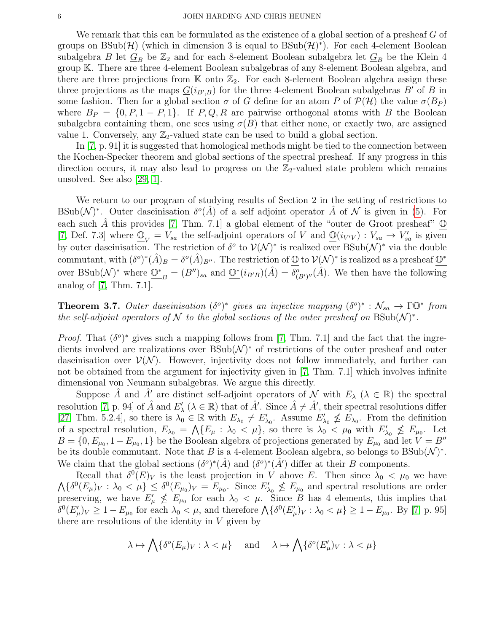#### 6 JOHN HARDING AND CHRIS HEUNEN

We remark that this can be formulated as the existence of a global section of a presheaf  $G$  of groups on  $\text{BSub}(\mathcal{H})$  (which in dimension 3 is equal to  $\text{BSub}(\mathcal{H})^*$ ). For each 4-element Boolean subalgebra B let  $G_B$  be  $\mathbb{Z}_2$  and for each 8-element Boolean subalgebra let  $G_B$  be the Klein 4 group K. There are three 4-element Boolean subalgebras of any 8-element Boolean algebra, and there are three projections from  $K$  onto  $\mathbb{Z}_2$ . For each 8-element Boolean algebra assign these three projections as the maps  $\underline{G}(i_{B,B})$  for the three 4-element Boolean subalgebras  $B'$  of B in some fashion. Then for a global section  $\sigma$  of G define for an atom P of  $\mathcal{P}(\mathcal{H})$  the value  $\sigma(B_P)$ where  $B_P = \{0, P, 1 - P, 1\}$ . If P, Q, R are pairwise orthogonal atoms with B the Boolean subalgebra containing them, one sees using  $\sigma(B)$  that either none, or exactly two, are assigned value 1. Conversely, any  $\mathbb{Z}_2$ -valued state can be used to build a global section.

In [\[7,](#page-12-2) p. 91] it is suggested that homological methods might be tied to the connection between the Kochen-Specker theorem and global sections of the spectral presheaf. If any progress in this direction occurs, it may also lead to progress on the  $\mathbb{Z}_2$ -valued state problem which remains unsolved. See also [\[29,](#page-12-22) [1\]](#page-12-23).

We return to our program of studying results of Section 2 in the setting of restrictions to BSub(N)<sup>\*</sup>. Outer daseinisation  $\delta^o(\hat{A})$  of a self adjoint operator  $\hat{A}$  of N is given in [\(5\)](#page-2-2). For each such  $\hat{A}$  this provides [\[7,](#page-12-2) Thm. 7.1] a global element of the "outer de Groot presheaf"  $\mathbb{O}$ [\[7,](#page-12-2) Def. 7.3] where  $\underline{\mathbb{O}}_V = V_{sa}$  the self-adjoint operators of V and  $\underline{\mathbb{O}}(i_{V'V}) : V_{sa} \to V'_{sa}$  is given by outer daseinisation. The restriction of  $\delta^o$  to  $\mathcal{V}(\mathcal{N})^*$  is realized over  $\text{BSub}(\mathcal{N})^*$  via the double commutant, with  $(\delta^o)^*(\hat{A})_B = \delta^o(\hat{A})_{B''}$ . The restriction of  $\mathbb{O}$  to  $\mathcal{V}(\mathcal{N})^*$  is realized as a presheaf  $\mathbb{O}^*$ over BSub( $\mathcal{N}$ )<sup>\*</sup> where  $\underline{\mathbb{O}^*}_{B} = (B'')_{sa}$  and  $\underline{\mathbb{O}^*}(i_{B'B})(\hat{A}) = \delta^o_{(B')''}(\hat{A})$ . We then have the following analog of [\[7,](#page-12-2) Thm. 7.1].

**Theorem 3.7.** Outer daseinisation  $(\delta^o)^*$  gives an injective mapping  $(\delta^o)^* : \mathcal{N}_{sa} \to \Gamma \mathbb{O}^*$  from the self-adjoint operators of N to the global sections of the outer presheaf on  $BSub(N)^*$ .

*Proof.* That  $(\delta^o)^*$  gives such a mapping follows from [\[7,](#page-12-2) Thm. 7.1] and the fact that the ingredients involved are realizations over  $\text{BSub}(\mathcal{N})^*$  of restrictions of the outer presheaf and outer daseinisation over  $\mathcal{V}(\mathcal{N})$ . However, injectivity does not follow immediately, and further can not be obtained from the argument for injectivity given in [\[7,](#page-12-2) Thm. 7.1] which involves infinite dimensional von Neumann subalgebras. We argue this directly.

Suppose  $\hat{A}$  and  $\hat{A}'$  are distinct self-adjoint operators of N with  $E_\lambda$  ( $\lambda \in \mathbb{R}$ ) the spectral resolution [\[7,](#page-12-2) p. 94] of  $\hat{A}$  and  $E'_{\lambda}$  ( $\lambda \in \mathbb{R}$ ) that of  $\hat{A}'$ . Since  $\hat{A} \neq \hat{A}'$ , their spectral resolutions differ [\[27,](#page-12-24) Thm. 5.2.4], so there is  $\lambda_0 \in \mathbb{R}$  with  $E_{\lambda_0} \neq E'_{\lambda_0}$ . Assume  $E'_{\lambda_0} \nleq E_{\lambda_0}$ . From the definition of a spectral resolution,  $E_{\lambda_0} = \Lambda \{ E_\mu : \lambda_0 < \mu \}$ , so there is  $\lambda_0 < \mu_0$  with  $E'_{\lambda_0} \nleq E_{\mu_0}$ . Let  $B = \{0, E_{\mu_0}, 1 - E_{\mu_0}, 1\}$  be the Boolean algebra of projections generated by  $E_{\mu_0}$  and let  $V = B''$ be its double commutant. Note that B is a 4-element Boolean algebra, so belongs to  $\text{BSub}(\mathcal{N})^*$ . We claim that the global sections  $(\delta^o)^*(\hat{A})$  and  $(\delta^o)^*(\hat{A}')$  differ at their B components.

Recall that  $\delta^0(E)_V$  is the least projection in V above E. Then since  $\lambda_0 < \mu_0$  we have  $\Lambda\{\delta^0(E_\mu)_V:\lambda_0\lt\mu\}\leq \delta^0(E_{\mu_0})_V=E_{\mu_0}$ . Since  $E'_{\lambda_0}\nleq E_{\mu_0}$  and spectral resolutions are order preserving, we have  $E'_{\mu} \nleq E_{\mu_0}$  for each  $\lambda_0 < \mu$ . Since B has 4 elements, this implies that  $\delta^0(E'_\mu)_V \geq 1 - E_{\mu_0}$  for each  $\lambda_0 < \mu$ , and therefore  $\Lambda \{ \delta^0(E'_\mu)_V : \lambda_0 < \mu \} \geq 1 - E_{\mu_0}$ . By [\[7,](#page-12-2) p. 95] there are resolutions of the identity in  $V$  given by

$$
\lambda \mapsto \bigwedge \{ \delta^o(E_\mu)_V : \lambda < \mu \} \quad \text{ and } \quad \lambda \mapsto \bigwedge \{ \delta^o(E'_\mu)_V : \lambda < \mu \}
$$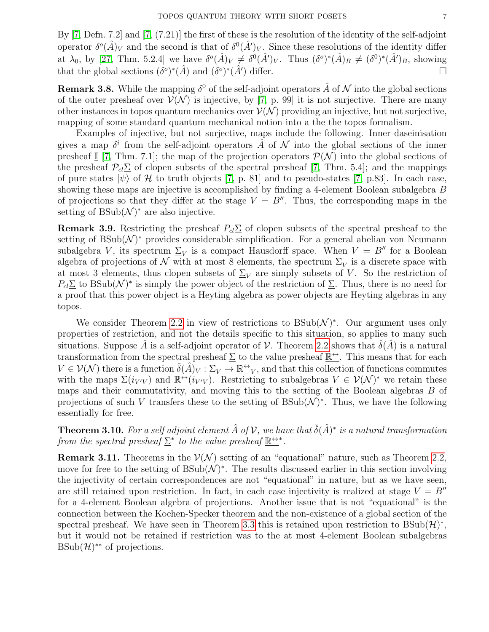By [\[7,](#page-12-2) Defn. 7.2] and [\[7,](#page-12-2) (7.21)] the first of these is the resolution of the identity of the self-adjoint operator  $\delta^o(\hat{A})_V$  and the second is that of  $\delta^0(\hat{A}')_V$ . Since these resolutions of the identity differ at  $\lambda_0$ , by [\[27,](#page-12-24) Thm. 5.2.4] we have  $\delta^o(\hat{A})_V \neq \delta^0(\hat{A}')_V$ . Thus  $(\delta^o)^*(\hat{A})_B \neq (\delta^0)^*(\hat{A}')_B$ , showing that the global sections  $(\delta^o)^*(\hat{A})$  and  $(\delta^o)^*(\hat{A}')$  differ.

**Remark 3.8.** While the mapping  $\delta^0$  of the self-adjoint operators  $\hat{A}$  of  $\mathcal N$  into the global sections of the outer presheaf over  $V(N)$  is injective, by [\[7,](#page-12-2) p. 99] it is not surjective. There are many other instances in topos quantum mechanics over  $\mathcal{V}(\mathcal{N})$  providing an injective, but not surjective, mapping of some standard quantum mechanical notion into a the the topos formalism.

Examples of injective, but not surjective, maps include the following. Inner daseinisation gives a map  $\delta^i$  from the self-adjoint operators  $\hat{A}$  of  $\cal N$  into the global sections of the inner presheaf I [\[7,](#page-12-2) Thm. 7.1]; the map of the projection operators  $\mathcal{P}(\mathcal{N})$  into the global sections of the presheaf  $\mathcal{P}_{cl}\Sigma$  of clopen subsets of the spectral presheaf [\[7,](#page-12-2) Thm. 5.4]; and the mappings of pure states  $|\psi\rangle$  of H to truth objects [\[7,](#page-12-2) p. 81] and to pseudo-states [7, p. 83]. In each case, showing these maps are injective is accomplished by finding a 4-element Boolean subalgebra B of projections so that they differ at the stage  $V = B''$ . Thus, the corresponding maps in the setting of  $BSub(\mathcal{N})^*$  are also injective.

<span id="page-6-0"></span>**Remark 3.9.** Restricting the presheaf  $P_{cl}\Sigma$  of clopen subsets of the spectral presheaf to the setting of  $BSub(\mathcal{N})^*$  provides considerable simplification. For a general abelian von Neumann subalgebra V, its spectrum  $\Sigma_V$  is a compact Hausdorff space. When  $V = B''$  for a Boolean algebra of projections of  $\mathcal N$  with at most 8 elements, the spectrum  $\Sigma_V$  is a discrete space with at most 3 elements, thus clopen subsets of  $\Sigma_V$  are simply subsets of V. So the restriction of  $P_{cl}\Sigma$  to BSub( $\mathcal{N}$ )<sup>\*</sup> is simply the power object of the restriction of  $\Sigma$ . Thus, there is no need for a proof that this power object is a Heyting algebra as power objects are Heyting algebras in any topos.

We consider Theorem [2.2](#page-2-0) in view of restrictions to  $BSub(\mathcal{N})^*$ . Our argument uses only properties of restriction, and not the details specific to this situation, so applies to many such situations. Suppose A is a self-adjoint operator of V. Theorem [2.2](#page-2-0) shows that  $\delta(A)$  is a natural transformation from the spectral presheaf  $\Sigma$  to the value presheaf  $\mathbb{R}^{\leftrightarrow}$ . This means that for each  $V \in \mathcal{V}(\mathcal{N})$  there is a function  $\check{\delta}(\hat{A})_V : \underline{\Sigma}_V \to \underline{\mathbb{R}} \to \underline{\cdots}_V$ , and that this collection of functions commutes with the maps  $\underline{\Sigma}(i_{V'V})$  and  $\underline{\mathbb{R}^{\leftrightarrow}}(i_{V'V})$ . Restricting to subalgebras  $V \in \mathcal{V}(\mathcal{N})^*$  we retain these maps and their commutativity, and moving this to the setting of the Boolean algebras B of projections of such V transfers these to the setting of  $\text{BSub}(\mathcal{N})^*$ . Thus, we have the following essentially for free.

**Theorem 3.10.** For a self adjoint element  $\hat{A}$  of  $V$ , we have that  $\check{\delta}(\hat{A})^*$  is a natural transformation from the spectral presheaf  $\Sigma^*$  to the value presheaf  $\mathbb{R}^{\leftrightarrow *}$ .

**Remark 3.11.** Theorems in the  $V(N)$  setting of an "equational" nature, such as Theorem [2.2,](#page-2-0) move for free to the setting of  $\text{BSub}(\mathcal{N})^*$ . The results discussed earlier in this section involving the injectivity of certain correspondences are not "equational" in nature, but as we have seen, are still retained upon restriction. In fact, in each case injectivity is realized at stage  $V = B''$ for a 4-element Boolean algebra of projections. Another issue that is not "equational" is the connection between the Kochen-Specker theorem and the non-existence of a global section of the spectral presheaf. We have seen in Theorem [3.3](#page-4-0) this is retained upon restriction to  $BSub(\mathcal{H})^*$ , but it would not be retained if restriction was to the at most 4-element Boolean subalgebras  $BSub(\mathcal{H})^{**}$  of projections.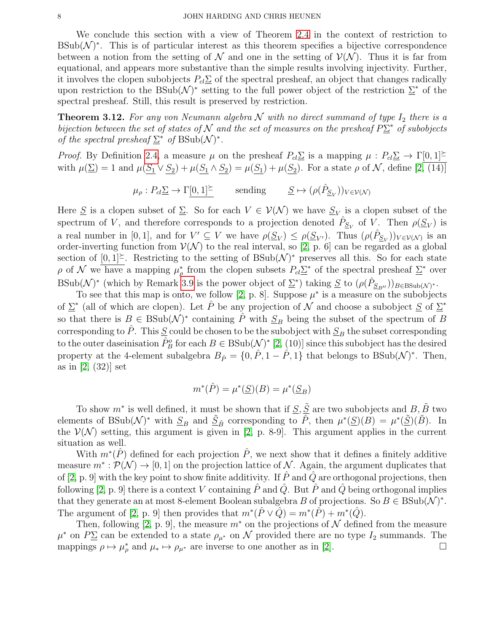We conclude this section with a view of Theorem [2.4](#page-3-2) in the context of restriction to  $BSub(\mathcal{N})^*$ . This is of particular interest as this theorem specifies a bijective correspondence between a notion from the setting of  $\mathcal N$  and one in the setting of  $\mathcal V(\mathcal N)$ . Thus it is far from equational, and appears more substantive than the simple results involving injectivity. Further, it involves the clopen subobjects  $P_{cl}\Sigma$  of the spectral presheaf, an object that changes radically upon restriction to the  $\text{BSub}(\mathcal{N})^*$  setting to the full power object of the restriction  $\Sigma^*$  of the spectral presheaf. Still, this result is preserved by restriction.

**Theorem 3.12.** For any von Neumann algebra  $N$  with no direct summand of type  $I_2$  there is a bijection between the set of states of N and the set of measures on the presheaf  $P\Sigma^*$  of subobjects of the spectral presheaf  $\Sigma^*$  of BSub( $\mathcal{N}$ )<sup>\*</sup>.

*Proof.* By Definition [2.4,](#page-3-2) a measure  $\mu$  on the presheaf  $P_{cl}\Sigma$  is a mapping  $\mu$ :  $P_{cl}\Sigma \to \Gamma[0,1]$ with  $\mu(\Sigma) = 1$  and  $\mu(S_1 \vee S_2) + \mu(S_1 \wedge S_2) = \mu(S_1) + \mu(S_2)$ . For a state  $\rho$  of N, define  $[2, (14)]$ 

$$
\mu_{\rho}: P_{cl} \underline{\Sigma} \to \Gamma[0, 1]^{\underline{\succ}} \quad \text{ sending } \quad \underline{S} \mapsto (\rho(\hat{P}_{\underline{S}_V}))_{V \in \mathcal{V}(\mathcal{N})}
$$

Here  $\underline{S}$  is a clopen subset of  $\underline{\Sigma}$ . So for each  $V \in V(\mathcal{N})$  we have  $\underline{S}_V$  is a clopen subset of the spectrum of V, and therefore corresponds to a projection denoted  $\hat{P}_{S_V}$  of V. Then  $\rho(S_V)$  is a real number in [0,1], and for  $V' \subseteq V$  we have  $\rho(\underline{S}_V) \leq \rho(\underline{S}_{V'})$ . Thus  $(\rho(\hat{P}_{\underline{S}_V}))_{V \in V(\mathcal{N})}$  is an order-inverting function from  $\mathcal{V}(\mathcal{N})$  to the real interval, so [\[2,](#page-12-0) p. 6] can be regarded as a global section of  $[0,1]^\succeq$ . Restricting to the setting of BSub(N)<sup>\*</sup> preserves all this. So for each state ρ of N we have a mapping  $\mu_{\rho}^*$  from the clopen subsets  $P_{cl}\Sigma^*$  of the spectral presheaf  $\Sigma^*$  over  $\text{BSub}(\mathcal{N})^*$  (which by Remark [3.9](#page-6-0) is the power object of  $\Sigma^*$ ) taking  $S$  to  $(\rho(\hat{P}_{S_{B''}}))_{B \in \text{BSub}(\mathcal{N})^*}$ .

To see that this map is onto, we follow [\[2,](#page-12-0) p. 8]. Suppose  $\mu^*$  is a measure on the subobjects of  $\Sigma^*$  (all of which are clopen). Let  $\hat{P}$  be any projection of  $\cal N$  and choose a subobject  $\underline{S}$  of  $\Sigma^*$ so that there is  $B \in \text{BSub}(\mathcal{N})^*$  containing  $\hat{P}$  with  $\underline{S}_B$  being the subset of the spectrum of B corresponding to  $\hat{P}$ . This  $\underline{S}$  could be chosen to be the subobject with  $\underline{S}_B$  the subset corresponding to the outer daseinisation  $\hat{P}_{B}^{o}$  for each  $B \in \text{BSub}(\mathcal{N})^*$  [\[2,](#page-12-0) (10)] since this subobject has the desired property at the 4-element subalgebra  $B_{\hat{P}} = \{0, \hat{P}, 1 - \hat{P}, 1\}$  that belongs to BSub( $\mathcal{N}$ )<sup>\*</sup>. Then, as in [\[2,](#page-12-0) (32)] set

$$
m^*(\hat{P})=\mu^*(\underline{S})(B)=\mu^*(\underline{S}_B)
$$

To show  $m^*$  is well defined, it must be shown that if  $\underline{S}, \underline{\tilde{S}}$  are two subobjects and  $B, \tilde{B}$  two elements of BSub( $\mathcal{N}$ )<sup>\*</sup> with  $\underline{S}_B$  and  $\underline{\tilde{S}}_{\tilde{B}}$  corresponding to  $\hat{P}$ , then  $\mu^*(\underline{S})(B) = \mu^*(\underline{\tilde{S}})(\tilde{B})$ . In the  $V(N)$  setting, this argument is given in [\[2,](#page-12-0) p. 8-9]. This argument applies in the current situation as well.

With  $m^*(\hat{P})$  defined for each projection  $\hat{P}$ , we next show that it defines a finitely additive measure  $m^*: \mathcal{P}(\mathcal{N}) \to [0, 1]$  on the projection lattice of  $\mathcal{N}$ . Again, the argument duplicates that of [\[2,](#page-12-0) p. 9] with the key point to show finite additivity. If  $\tilde{P}$  and  $\tilde{Q}$  are orthogonal projections, then following [\[2,](#page-12-0) p. 9] there is a context V containing  $\hat{P}$  and  $\hat{Q}$ . But  $\hat{P}$  and  $\hat{Q}$  being orthogonal implies that they generate an at most 8-element Boolean subalgebra B of projections. So  $B \in \text{BSub}(\mathcal{N})^*$ . The argument of [\[2,](#page-12-0) p. 9] then provides that  $m^*(\hat{P} \vee \hat{Q}) = m^*(\hat{P}) + m^*(\hat{Q})$ .

Then, following [\[2,](#page-12-0) p. 9], the measure  $m^*$  on the projections of N defined from the measure  $\mu^*$  on  $P\Sigma$  can be extended to a state  $\rho_{\mu^*}$  on  $\mathcal N$  provided there are no type  $I_2$  summands. The mappings  $\rho \mapsto \mu_{\rho}^*$  and  $\mu_* \mapsto \rho_{\mu^*}$  are inverse to one another as in [\[2\]](#page-12-0).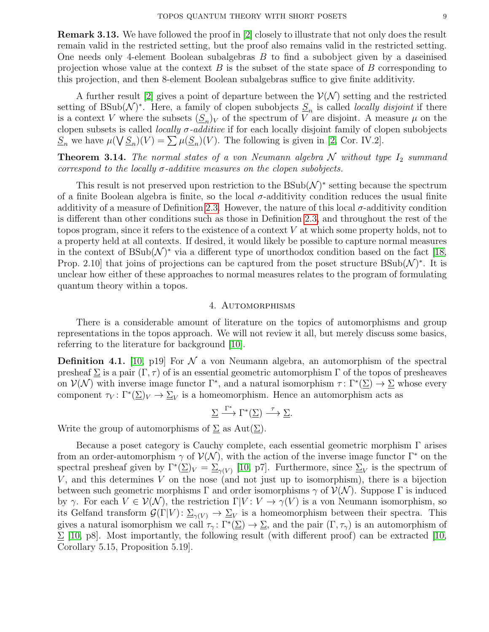Remark 3.13. We have followed the proof in [\[2\]](#page-12-0) closely to illustrate that not only does the result remain valid in the restricted setting, but the proof also remains valid in the restricted setting. One needs only 4-element Boolean subalgebras B to find a subobject given by a daseinised projection whose value at the context  $B$  is the subset of the state space of  $B$  corresponding to this projection, and then 8-element Boolean subalgebras suffice to give finite additivity.

A further result [\[2\]](#page-12-0) gives a point of departure between the  $\mathcal{V}(\mathcal{N})$  setting and the restricted setting of BSub( $\mathcal{N}$ )<sup>\*</sup>. Here, a family of clopen subobjects  $S_n$  is called *locally disjoint* if there is a context V where the subsets  $(\underline{S}_n)_V$  of the spectrum of V are disjoint. A measure  $\mu$  on the clopen subsets is called *locally*  $\sigma$ *-additive* if for each locally disjoint family of clopen subobjects  $S_n$  we have  $\mu(\bigvee S_n)(V) = \sum \mu(S_n)(V)$ . The following is given in [\[2,](#page-12-0) Cor. IV.2].

**Theorem 3.14.** The normal states of a von Neumann algebra  $N$  without type  $I_2$  summand correspond to the locally  $\sigma$ -additive measures on the clopen subobjects.

This result is not preserved upon restriction to the  $\text{BSub}(\mathcal{N})^*$  setting because the spectrum of a finite Boolean algebra is finite, so the local  $\sigma$ -additivity condition reduces the usual finite additivity of a measure of Definition [2.3.](#page-3-3) However, the nature of this local  $\sigma$ -additivity condition is different than other conditions such as those in Definition [2.3,](#page-3-3) and throughout the rest of the topos program, since it refers to the existence of a context  $V$  at which some property holds, not to a property held at all contexts. If desired, it would likely be possible to capture normal measures in the context of  $BSub(\mathcal{N})^*$  via a different type of unorthodox condition based on the fact [\[18,](#page-12-20) Prop. 2.10 that joins of projections can be captured from the poset structure  $BSub(\mathcal{N})^*$ . It is unclear how either of these approaches to normal measures relates to the program of formulating quantum theory within a topos.

### 4. Automorphisms

<span id="page-8-0"></span>There is a considerable amount of literature on the topics of automorphisms and group representations in the topos approach. We will not review it all, but merely discuss some basics, referring to the literature for background [\[10\]](#page-12-11).

<span id="page-8-1"></span>**Definition 4.1.** [\[10,](#page-12-11) p19] For  $\mathcal N$  a von Neumann algebra, an automorphism of the spectral presheaf  $\Sigma$  is a pair  $(\Gamma, \tau)$  of is an essential geometric automorphism  $\Gamma$  of the topos of presheaves on  $\mathcal{V}(\mathcal{N})$  with inverse image functor  $\Gamma^*$ , and a natural isomorphism  $\tau: \Gamma^*(\Sigma) \to \Sigma$  whose every component  $\tau_V: \Gamma^*(\underline{\Sigma})_V \to \underline{\Sigma}_V$  is a homeomorphism. Hence an automorphism acts as

 $\Sigma \xrightarrow{\Gamma^*} \Gamma^*(\Sigma) \xrightarrow{\tau} \Sigma.$ 

Write the group of automorphisms of  $\Sigma$  as  $Aut(\Sigma)$ .

Because a poset category is Cauchy complete, each essential geometric morphism  $\Gamma$  arises from an order-automorphism  $\gamma$  of  $\mathcal{V}(\mathcal{N})$ , with the action of the inverse image functor  $\Gamma^*$  on the spectral presheaf given by  $\Gamma^*(\Sigma)_V = \Sigma_{\gamma(V)}$  [\[10,](#page-12-11) p7]. Furthermore, since  $\Sigma_V$  is the spectrum of  $V$ , and this determines  $V$  on the nose (and not just up to isomorphism), there is a bijection between such geometric morphisms  $\Gamma$  and order isomorphisms  $\gamma$  of  $\mathcal{V}(\mathcal{N})$ . Suppose  $\Gamma$  is induced by γ. For each  $V \in V(\mathcal{N})$ , the restriction  $\Gamma | V: V \to \gamma(V)$  is a von Neumann isomorphism, so its Gelfand transform  $\mathcal{G}(\Gamma|V): \Sigma_{\gamma(V)} \to \Sigma_V$  is a homeomorphism between their spectra. This gives a natural isomorphism we call  $\tau_\gamma \colon \Gamma^*(\underline{\Sigma}) \to \underline{\Sigma}$ , and the pair  $(\Gamma, \tau_\gamma)$  is an automorphism of  $\Sigma$  [\[10,](#page-12-11) p8]. Most importantly, the following result (with different proof) can be extracted [\[10,](#page-12-11) Corollary 5.15, Proposition 5.19].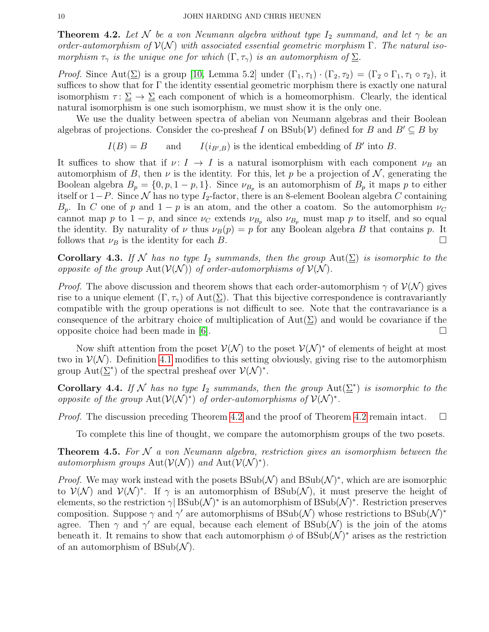<span id="page-9-0"></span>**Theorem 4.2.** Let N be a von Neumann algebra without type  $I_2$  summand, and let  $\gamma$  be an order-automorphism of  $\mathcal{V}(\mathcal{N})$  with associated essential geometric morphism  $\Gamma$ . The natural isomorphism  $\tau_{\gamma}$  is the unique one for which  $(\Gamma, \tau_{\gamma})$  is an automorphism of  $\Sigma$ .

*Proof.* Since Aut $(\Sigma)$  is a group [\[10,](#page-12-11) Lemma 5.2] under  $(\Gamma_1, \tau_1) \cdot (\Gamma_2, \tau_2) = (\Gamma_2 \circ \Gamma_1, \tau_1 \circ \tau_2)$ , it suffices to show that for  $\Gamma$  the identity essential geometric morphism there is exactly one natural isomorphism  $\tau : \Sigma \to \Sigma$  each component of which is a homeomorphism. Clearly, the identical natural isomorphism is one such isomorphism, we must show it is the only one.

We use the duality between spectra of abelian von Neumann algebras and their Boolean algebras of projections. Consider the co-presheaf I on  $B\text{Sub}(\mathcal{V})$  defined for B and  $B' \subseteq B$  by

$$
I(B) = B
$$
 and  $I(i_{B',B})$  is the identical embedding of B' into B.

It suffices to show that if  $\nu: I \to I$  is a natural isomorphism with each component  $\nu_B$  an automorphism of B, then  $\nu$  is the identity. For this, let p be a projection of N, generating the Boolean algebra  $B_p = \{0, p, 1 - p, 1\}$ . Since  $\nu_{B_p}$  is an automorphism of  $B_p$  it maps p to either itself or  $1-P$ . Since N has no type I<sub>2</sub>-factor, there is an 8-element Boolean algebra C containing  $B_p$ . In C one of p and  $1 - p$  is an atom, and the other a coatom. So the automorphism  $\nu_C$ cannot map p to  $1 - p$ , and since  $\nu_C$  extends  $\nu_{B_p}$  also  $\nu_{B_p}$  must map p to itself, and so equal the identity. By naturality of  $\nu$  thus  $\nu_B(p) = p$  for any Boolean algebra B that contains p. It follows that  $\nu_B$  is the identity for each B.

Corollary 4.3. If N has no type  $I_2$  summands, then the group  $Aut(\underline{\Sigma})$  is isomorphic to the opposite of the group  $Aut(V(N))$  of order-automorphisms of  $V(N)$ .

*Proof.* The above discussion and theorem shows that each order-automorphism  $\gamma$  of  $\mathcal{V}(\mathcal{N})$  gives rise to a unique element  $(\Gamma, \tau)$  of Aut $(\Sigma)$ . That this bijective correspondence is contravariantly compatible with the group operations is not difficult to see. Note that the contravariance is a consequence of the arbitrary choice of multiplication of  $Aut(\Sigma)$  and would be covariance if the opposite choice had been made in [\[6\]](#page-12-1).  $\square$ 

Now shift attention from the poset  $\mathcal{V}(\mathcal{N})$  to the poset  $\mathcal{V}(\mathcal{N})^*$  of elements of height at most two in  $\mathcal{V}(\mathcal{N})$ . Definition [4.1](#page-8-1) modifies to this setting obviously, giving rise to the automorphism group  $\text{Aut}(\underline{\Sigma}^*)$  of the spectral presheaf over  $\mathcal{V}(\mathcal{N})^*$ .

<span id="page-9-1"></span>**Corollary 4.4.** If N has no type  $I_2$  summands, then the group  $Aut(\underline{\Sigma}^*)$  is isomorphic to the opposite of the group  $\text{Aut}(\mathcal{V}(\mathcal{N})^*)$  of order-automorphisms of  $\mathcal{V}(\mathcal{N})^*$ .

*Proof.* The discussion preceding Theorem [4.2](#page-9-0) and the proof of Theorem 4.2 remain intact.  $\square$ 

To complete this line of thought, we compare the automorphism groups of the two posets.

<span id="page-9-2"></span>**Theorem 4.5.** For  $N$  a von Neumann algebra, restriction gives an isomorphism between the automorphism groups  $\text{Aut}(\mathcal{V}(\mathcal{N}))$  and  $\text{Aut}(\mathcal{V}(\mathcal{N})^*)$ .

*Proof.* We may work instead with the posets  $BSub(\mathcal{N})$  and  $BSub(\mathcal{N})^*$ , which are are isomorphic to  $\mathcal{V}(\mathcal{N})$  and  $\mathcal{V}(\mathcal{N})^*$ . If  $\gamma$  is an automorphism of BSub( $\mathcal{N}$ ), it must preserve the height of elements, so the restriction  $\gamma$  BSub( $\mathcal{N}$ )<sup>\*</sup> is an automorphism of BSub( $\mathcal{N}$ )<sup>\*</sup>. Restriction preserves composition. Suppose  $\gamma$  and  $\gamma'$  are automorphisms of BSub(N) whose restrictions to BSub(N)<sup>\*</sup> agree. Then  $\gamma$  and  $\gamma'$  are equal, because each element of BSub(N) is the join of the atoms beneath it. It remains to show that each automorphism  $\phi$  of BSub( $\mathcal{N}$ )<sup>\*</sup> arises as the restriction of an automorphism of  $BSub(\mathcal{N})$ .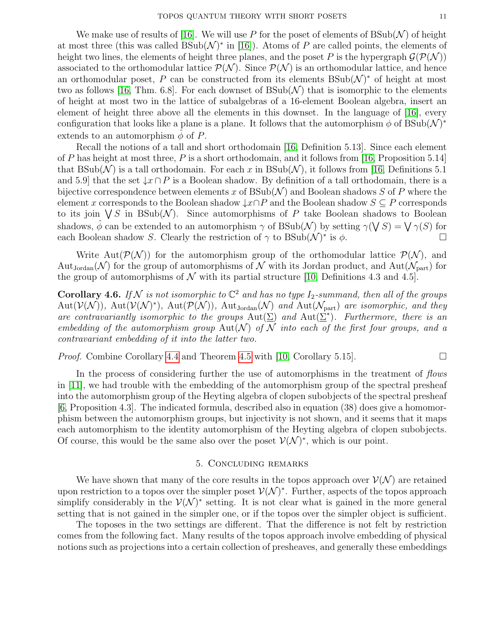We make use of results of [\[16\]](#page-12-19). We will use P for the poset of elements of  $\text{BSub}(\mathcal{N})$  of height at most three (this was called  $BSub(\mathcal{N})^*$  in [\[16\]](#page-12-19)). Atoms of P are called points, the elements of height two lines, the elements of height three planes, and the poset P is the hypergraph  $\mathcal{G}(\mathcal{P}(\mathcal{N}))$ associated to the orthomodular lattice  $\mathcal{P}(\mathcal{N})$ . Since  $\mathcal{P}(\mathcal{N})$  is an orthomodular lattice, and hence an orthomodular poset, P can be constructed from its elements  $\text{BSub}(\mathcal{N})^*$  of height at most two as follows [\[16,](#page-12-19) Thm. 6.8]. For each downset of  $\text{BSub}(\mathcal{N})$  that is isomorphic to the elements of height at most two in the lattice of subalgebras of a 16-element Boolean algebra, insert an element of height three above all the elements in this downset. In the language of [\[16\]](#page-12-19), every configuration that looks like a plane is a plane. It follows that the automorphism  $\phi$  of  $\text{BSub}(\mathcal{N})^*$ extends to an automorphism  $\phi$  of P.

Recall the notions of a tall and short orthodomain [\[16,](#page-12-19) Definition 5.13]. Since each element of P has height at most three, P is a short orthodomain, and it follows from [\[16,](#page-12-19) Proposition 5.14] that  $BSub(\mathcal{N})$  is a tall orthodomain. For each x in  $BSub(\mathcal{N})$ , it follows from [\[16,](#page-12-19) Definitions 5.1] and 5.9] that the set  $\downarrow x \cap P$  is a Boolean shadow. By definition of a tall orthodomain, there is a bijective correspondence between elements x of  $BSub(\mathcal{N})$  and Boolean shadows S of P where the element x corresponds to the Boolean shadow  $\downarrow x \cap P$  and the Boolean shadow  $S \subseteq P$  corresponds to its join  $\bigvee S$  in BSub(N). Since automorphisms of P take Boolean shadows to Boolean shadows,  $\hat{\phi}$  can be extended to an automorphism  $\gamma$  of BSub(N) by setting  $\gamma(\bigvee S) = \bigvee \gamma(S)$  for each Boolean shadow S. Clearly the restriction of  $\gamma$  to  $\text{BSub}(\mathcal{N})^*$  is  $\phi$ .

Write Aut $(\mathcal{P}(\mathcal{N}))$  for the automorphism group of the orthomodular lattice  $\mathcal{P}(\mathcal{N})$ , and Aut<sub>Jordan</sub> (N) for the group of automorphisms of N with its Jordan product, and Aut $(\mathcal{N}_{part})$  for the group of automorphisms of  $N$  with its partial structure [\[10,](#page-12-11) Definitions 4.3 and 4.5].

**Corollary 4.6.** If N is not isomorphic to  $\mathbb{C}^2$  and has no type  $I_2$ -summand, then all of the groups  $Aut(V(N)), Aut(V(N)^*), Aut(\mathcal{P}(N)), Aut_{Jordan}(N)$  and  $Aut(\mathcal{N}_{part})$  are isomorphic, and they are contravariantly isomorphic to the groups  $Aut(\underline{\Sigma})$  and  $Aut(\underline{\Sigma}^*)$ . Furthermore, there is an embedding of the automorphism group  $Aut(\mathcal{N})$  of  $\mathcal N$  into each of the first four groups, and a contravariant embedding of it into the latter two.

*Proof.* Combine Corollary [4.4](#page-9-1) and Theorem [4.5](#page-9-2) with [\[10,](#page-12-11) Corollary 5.15].  $\Box$ 

In the process of considering further the use of automorphisms in the treatment of *flows* in [\[11\]](#page-12-25), we had trouble with the embedding of the automorphism group of the spectral presheaf into the automorphism group of the Heyting algebra of clopen subobjects of the spectral presheaf [\[6,](#page-12-1) Proposition 4.3]. The indicated formula, described also in equation (38) does give a homomorphism between the automorphism groups, but injectivity is not shown, and it seems that it maps each automorphism to the identity automorphism of the Heyting algebra of clopen subobjects. Of course, this would be the same also over the poset  $\mathcal{V}(\mathcal{N})^*$ , which is our point.

# 5. Concluding remarks

<span id="page-10-0"></span>We have shown that many of the core results in the topos approach over  $\mathcal{V}(\mathcal{N})$  are retained upon restriction to a topos over the simpler poset  $\mathcal{V}(\mathcal{N})^*$ . Further, aspects of the topos approach simplify considerably in the  $\mathcal{V}(\mathcal{N})^*$  setting. It is not clear what is gained in the more general setting that is not gained in the simpler one, or if the topos over the simpler object is sufficient.

The toposes in the two settings are different. That the difference is not felt by restriction comes from the following fact. Many results of the topos approach involve embedding of physical notions such as projections into a certain collection of presheaves, and generally these embeddings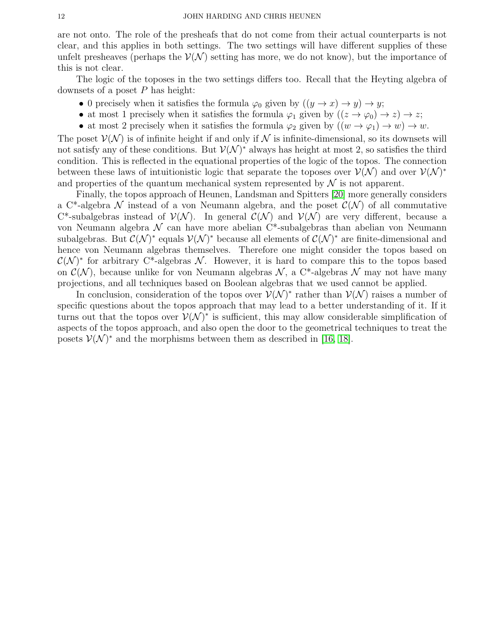are not onto. The role of the presheafs that do not come from their actual counterparts is not clear, and this applies in both settings. The two settings will have different supplies of these unfelt presheaves (perhaps the  $\mathcal{V}(\mathcal{N})$  setting has more, we do not know), but the importance of this is not clear.

The logic of the toposes in the two settings differs too. Recall that the Heyting algebra of downsets of a poset  $P$  has height:

- 0 precisely when it satisfies the formula  $\varphi_0$  given by  $((y \to x) \to y) \to y$ ;
- at most 1 precisely when it satisfies the formula  $\varphi_1$  given by  $((z \to \varphi_0) \to z) \to z;$
- at most 2 precisely when it satisfies the formula  $\varphi_2$  given by  $((w \to \varphi_1) \to w) \to w$ .

The poset  $\mathcal{V}(\mathcal{N})$  is of infinite height if and only if  $\mathcal N$  is infinite-dimensional, so its downsets will not satisfy any of these conditions. But  $\mathcal{V}(\mathcal{N})^*$  always has height at most 2, so satisfies the third condition. This is reflected in the equational properties of the logic of the topos. The connection between these laws of intuitionistic logic that separate the toposes over  $\mathcal{V}(\mathcal{N})$  and over  $\mathcal{V}(\mathcal{N})^*$ and properties of the quantum mechanical system represented by  $\mathcal N$  is not apparent.

Finally, the topos approach of Heunen, Landsman and Spitters [\[20\]](#page-12-13) more generally considers a C<sup>\*</sup>-algebra N instead of a von Neumann algebra, and the poset  $\mathcal{C}(\mathcal{N})$  of all commutative C<sup>\*</sup>-subalgebras instead of  $V(N)$ . In general  $C(N)$  and  $V(N)$  are very different, because a von Neumann algebra  $\mathcal N$  can have more abelian  $C^*$ -subalgebras than abelian von Neumann subalgebras. But  $\mathcal{C}(\mathcal{N})^*$  equals  $\mathcal{V}(\mathcal{N})^*$  because all elements of  $\mathcal{C}(\mathcal{N})^*$  are finite-dimensional and hence von Neumann algebras themselves. Therefore one might consider the topos based on  $\mathcal{C}(\mathcal{N})^*$  for arbitrary C<sup>\*</sup>-algebras N. However, it is hard to compare this to the topos based on  $\mathcal{C}(\mathcal{N})$ , because unlike for von Neumann algebras  $\mathcal{N}$ , a C<sup>\*</sup>-algebras  $\mathcal{N}$  may not have many projections, and all techniques based on Boolean algebras that we used cannot be applied.

In conclusion, consideration of the topos over  $\mathcal{V}(\mathcal{N})^*$  rather than  $\mathcal{V}(\mathcal{N})$  raises a number of specific questions about the topos approach that may lead to a better understanding of it. If it turns out that the topos over  $\mathcal{V}(\mathcal{N})^*$  is sufficient, this may allow considerable simplification of aspects of the topos approach, and also open the door to the geometrical techniques to treat the posets  $\mathcal{V}(\mathcal{N})^*$  and the morphisms between them as described in [\[16,](#page-12-19) [18\]](#page-12-20).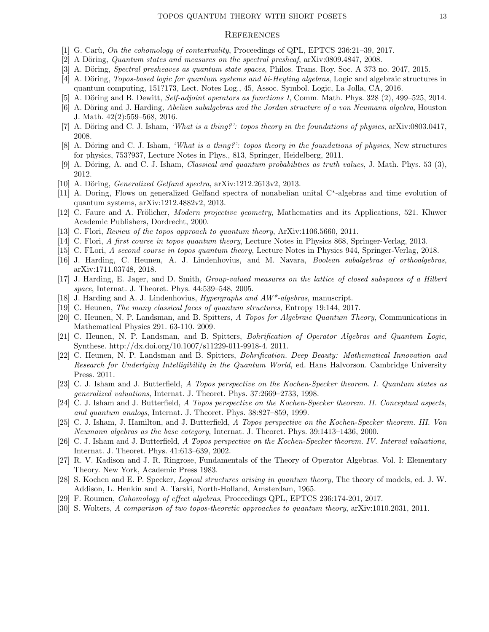### **REFERENCES**

- <span id="page-12-23"></span>[1] G. Carù, On the cohomology of contextuality, Proceedings of QPL, EPTCS 236:21-39, 2017.
- <span id="page-12-0"></span>[2] A Döring, *Quantum states and measures on the spectral presheaf*,  $a\bar{x}$ iv:0809.4847, 2008.
- <span id="page-12-9"></span>[3] A. Döring, *Spectral presheaves as quantum state spaces*, Philos. Trans. Roy. Soc. A 373 no. 2047, 2015.
- <span id="page-12-10"></span>[4] A. Döring, *Topos-based logic for quantum systems and bi-Heyting algebras*, Logic and algebraic structures in quantum computing, 151?173, Lect. Notes Log., 45, Assoc. Symbol. Logic, La Jolla, CA, 2016.
- <span id="page-12-11"></span>[5] A. Döring and B. Dewitt, Self-adjoint operators as functions I, Comm. Math. Phys. 328  $(2)$ , 499–525, 2014.
- <span id="page-12-1"></span>[6] A. Döring and J. Harding, Abelian subalgebras and the Jordan structure of a von Neumann algebra, Houston J. Math. 42(2):559–568, 2016.
- <span id="page-12-2"></span>[7] A. Döring and C. J. Isham, 'What is a thing?': topos theory in the foundations of physics, arXiv:0803.0417, 2008.
- <span id="page-12-12"></span>[8] A. Döring and C. J. Isham, 'What is a thing?': topos theory in the foundations of physics, New structures for physics, 753?937, Lecture Notes in Phys., 813, Springer, Heidelberg, 2011.
- [9] A. Döring, A. and C. J. Isham, *Classical and quantum probabilities as truth values*, J. Math. Phys. 53 (3), 2012.
- [10] A. Döring, *Generalized Gelfand spectra*,  $arXiv:1212.2613v2$ , 2013.
- <span id="page-12-25"></span>[11] A. Doring, Flows on generalized Gelfand spectra of nonabelian unital C<sup>∗</sup>-algebras and time evolution of quantum systems, arXiv:1212.4882v2, 2013.
- [12] C. Faure and A. Frölicher, *Modern projective geometry*, Mathematics and its Applications, 521. Kluwer Academic Publishers, Dordrecht, 2000.
- <span id="page-12-17"></span>[13] C. Flori, Review of the topos approach to quantum theory, ArXiv:1106.5660, 2011.
- <span id="page-12-3"></span>[14] C. Flori, A first course in topos quantum theory, Lecture Notes in Physics 868, Springer-Verlag, 2013.
- <span id="page-12-4"></span>[15] C. FLori, A second course in topos quantum theory, Lecture Notes in Physics 944, Springer-Verlag, 2018.
- <span id="page-12-19"></span>[16] J. Harding, C. Heunen, A. J. Lindenhovius, and M. Navara, Boolean subalgebras of orthoalgebras, arXiv:1711.03748, 2018.
- <span id="page-12-21"></span>[17] J. Harding, E. Jager, and D. Smith, Group-valued measures on the lattice of closed subspaces of a Hilbert space, Internat. J. Theoret. Phys. 44:539–548, 2005.
- <span id="page-12-20"></span>[18] J. Harding and A. J. Lindenhovius, *Hypergraphs and*  $AW^*$ *-algebras*, manuscript.
- <span id="page-12-16"></span>[19] C. Heunen, The many classical faces of quantum structures, Entropy 19:144, 2017.
- <span id="page-12-13"></span>[20] C. Heunen, N. P. Landsman, and B. Spitters, A Topos for Algebraic Quantum Theory, Communications in Mathematical Physics 291. 63-110. 2009.
- <span id="page-12-14"></span>[21] C. Heunen, N. P. Landsman, and B. Spitters, Bohrification of Operator Algebras and Quantum Logic, Synthese. http://dx.doi.org/10.1007/s11229-011-9918-4. 2011.
- <span id="page-12-15"></span>[22] C. Heunen, N. P. Landsman and B. Spitters, Bohrification. Deep Beauty: Mathematical Innovation and Research for Underlying Intelligibility in the Quantum World, ed. Hans Halvorson. Cambridge University Press. 2011.
- <span id="page-12-5"></span>[23] C. J. Isham and J. Butterfield, A Topos perspective on the Kochen-Specker theorem. I. Quantum states as generalized valuations, Internat. J. Theoret. Phys. 37:2669–2733, 1998.
- <span id="page-12-6"></span>[24] C. J. Isham and J. Butterfield, A Topos perspective on the Kochen-Specker theorem. II. Conceptual aspects, and quantum analogs, Internat. J. Theoret. Phys. 38:827–859, 1999.
- <span id="page-12-7"></span>[25] C. J. Isham, J. Hamilton, and J. Butterfield, A Topos perspective on the Kochen-Specker theorem. III. Von Neumann algebras as the base category, Internat. J. Theoret. Phys. 39:1413–1436, 2000.
- <span id="page-12-8"></span>[26] C. J. Isham and J. Butterfield, A Topos perspective on the Kochen-Specker theorem. IV. Interval valuations, Internat. J. Theoret. Phys. 41:613–639, 2002.
- <span id="page-12-24"></span>[27] R. V. Kadison and J. R. Ringrose, Fundamentals of the Theory of Operator Algebras. Vol. I: Elementary Theory. New York, Academic Press 1983.
- [28] S. Kochen and E. P. Specker, Logical structures arising in quantum theory, The theory of models, ed. J. W. Addison, L. Henkin and A. Tarski, North-Holland, Amsterdam, 1965.
- <span id="page-12-22"></span>[29] F. Roumen, Cohomology of effect algebras, Proceedings QPL, EPTCS 236:174-201, 2017.
- <span id="page-12-18"></span>[30] S. Wolters, A comparison of two topos-theoretic approaches to quantum theory, arXiv:1010.2031, 2011.